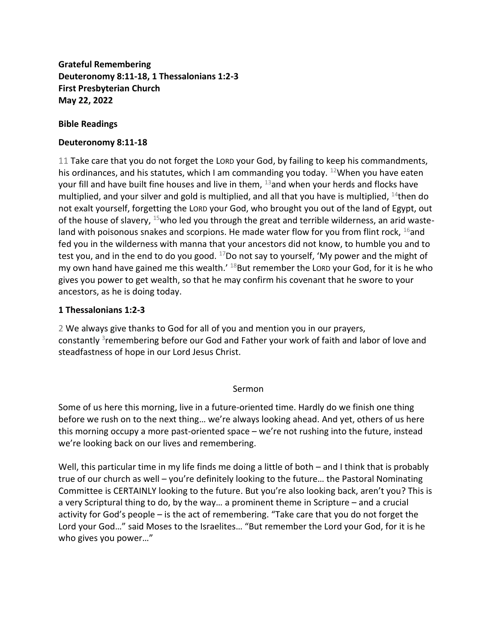**Grateful Remembering Deuteronomy 8:11-18, 1 Thessalonians 1:2-3 First Presbyterian Church May 22, 2022**

## **Bible Readings**

## **Deuteronomy 8:11-18**

11 Take care that you do not forget the LORD your God, by failing to keep his commandments, his ordinances, and his statutes, which I am commanding you today.  $12$ When you have eaten your fill and have built fine houses and live in them,  $^{13}$  and when your herds and flocks have multiplied, and your silver and gold is multiplied, and all that you have is multiplied,  $^{14}$ then do not exalt yourself, forgetting the LORD your God, who brought you out of the land of Egypt, out of the house of slavery,  $15$  who led you through the great and terrible wilderness, an arid wasteland with poisonous snakes and scorpions. He made water flow for you from flint rock,  $^{16}$ and fed you in the wilderness with manna that your ancestors did not know, to humble you and to test you, and in the end to do you good.  $^{17}$ Do not say to yourself, 'My power and the might of my own hand have gained me this wealth.<sup>' 18</sup>But remember the LORD your God, for it is he who gives you power to get wealth, so that he may confirm his covenant that he swore to your ancestors, as he is doing today.

## **1 Thessalonians 1:2-3**

2 We always give thanks to God for all of you and mention you in our prayers, constantly <sup>3</sup>remembering before our God and Father your work of faith and labor of love and steadfastness of hope in our Lord Jesus Christ.

## Sermon

Some of us here this morning, live in a future-oriented time. Hardly do we finish one thing before we rush on to the next thing… we're always looking ahead. And yet, others of us here this morning occupy a more past-oriented space – we're not rushing into the future, instead we're looking back on our lives and remembering.

Well, this particular time in my life finds me doing a little of both – and I think that is probably true of our church as well – you're definitely looking to the future… the Pastoral Nominating Committee is CERTAINLY looking to the future. But you're also looking back, aren't you? This is a very Scriptural thing to do, by the way… a prominent theme in Scripture – and a crucial activity for God's people – is the act of remembering. "Take care that you do not forget the Lord your God…" said Moses to the Israelites… "But remember the Lord your God, for it is he who gives you power…"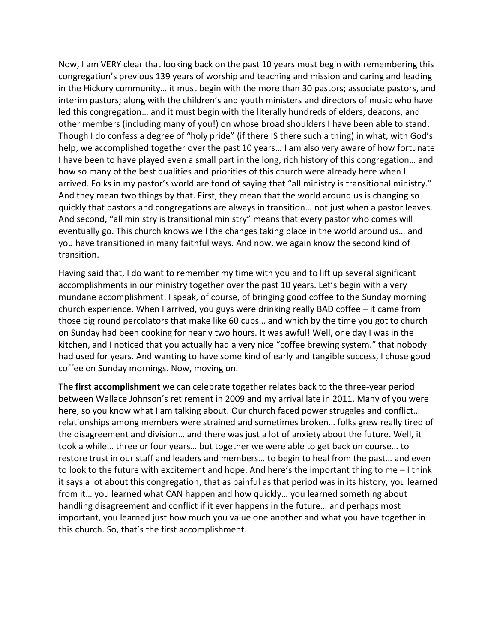Now, I am VERY clear that looking back on the past 10 years must begin with remembering this congregation's previous 139 years of worship and teaching and mission and caring and leading in the Hickory community… it must begin with the more than 30 pastors; associate pastors, and interim pastors; along with the children's and youth ministers and directors of music who have led this congregation… and it must begin with the literally hundreds of elders, deacons, and other members (including many of you!) on whose broad shoulders I have been able to stand. Though I do confess a degree of "holy pride" (if there IS there such a thing) in what, with God's help, we accomplished together over the past 10 years… I am also very aware of how fortunate I have been to have played even a small part in the long, rich history of this congregation… and how so many of the best qualities and priorities of this church were already here when I arrived. Folks in my pastor's world are fond of saying that "all ministry is transitional ministry." And they mean two things by that. First, they mean that the world around us is changing so quickly that pastors and congregations are always in transition… not just when a pastor leaves. And second, "all ministry is transitional ministry" means that every pastor who comes will eventually go. This church knows well the changes taking place in the world around us… and you have transitioned in many faithful ways. And now, we again know the second kind of transition.

Having said that, I do want to remember my time with you and to lift up several significant accomplishments in our ministry together over the past 10 years. Let's begin with a very mundane accomplishment. I speak, of course, of bringing good coffee to the Sunday morning church experience. When I arrived, you guys were drinking really BAD coffee – it came from those big round percolators that make like 60 cups… and which by the time you got to church on Sunday had been cooking for nearly two hours. It was awful! Well, one day I was in the kitchen, and I noticed that you actually had a very nice "coffee brewing system." that nobody had used for years. And wanting to have some kind of early and tangible success, I chose good coffee on Sunday mornings. Now, moving on.

The **first accomplishment** we can celebrate together relates back to the three-year period between Wallace Johnson's retirement in 2009 and my arrival late in 2011. Many of you were here, so you know what I am talking about. Our church faced power struggles and conflict… relationships among members were strained and sometimes broken… folks grew really tired of the disagreement and division… and there was just a lot of anxiety about the future. Well, it took a while… three or four years… but together we were able to get back on course… to restore trust in our staff and leaders and members… to begin to heal from the past… and even to look to the future with excitement and hope. And here's the important thing to me – I think it says a lot about this congregation, that as painful as that period was in its history, you learned from it… you learned what CAN happen and how quickly… you learned something about handling disagreement and conflict if it ever happens in the future… and perhaps most important, you learned just how much you value one another and what you have together in this church. So, that's the first accomplishment.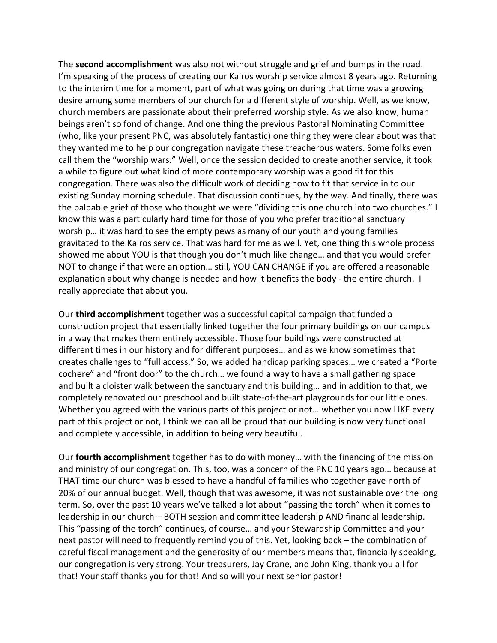The **second accomplishment** was also not without struggle and grief and bumps in the road. I'm speaking of the process of creating our Kairos worship service almost 8 years ago. Returning to the interim time for a moment, part of what was going on during that time was a growing desire among some members of our church for a different style of worship. Well, as we know, church members are passionate about their preferred worship style. As we also know, human beings aren't so fond of change. And one thing the previous Pastoral Nominating Committee (who, like your present PNC, was absolutely fantastic) one thing they were clear about was that they wanted me to help our congregation navigate these treacherous waters. Some folks even call them the "worship wars." Well, once the session decided to create another service, it took a while to figure out what kind of more contemporary worship was a good fit for this congregation. There was also the difficult work of deciding how to fit that service in to our existing Sunday morning schedule. That discussion continues, by the way. And finally, there was the palpable grief of those who thought we were "dividing this one church into two churches." I know this was a particularly hard time for those of you who prefer traditional sanctuary worship… it was hard to see the empty pews as many of our youth and young families gravitated to the Kairos service. That was hard for me as well. Yet, one thing this whole process showed me about YOU is that though you don't much like change… and that you would prefer NOT to change if that were an option… still, YOU CAN CHANGE if you are offered a reasonable explanation about why change is needed and how it benefits the body - the entire church. I really appreciate that about you.

Our **third accomplishment** together was a successful capital campaign that funded a construction project that essentially linked together the four primary buildings on our campus in a way that makes them entirely accessible. Those four buildings were constructed at different times in our history and for different purposes… and as we know sometimes that creates challenges to "full access." So, we added handicap parking spaces… we created a "Porte cochere" and "front door" to the church… we found a way to have a small gathering space and built a cloister walk between the sanctuary and this building… and in addition to that, we completely renovated our preschool and built state-of-the-art playgrounds for our little ones. Whether you agreed with the various parts of this project or not… whether you now LIKE every part of this project or not, I think we can all be proud that our building is now very functional and completely accessible, in addition to being very beautiful.

Our **fourth accomplishment** together has to do with money… with the financing of the mission and ministry of our congregation. This, too, was a concern of the PNC 10 years ago… because at THAT time our church was blessed to have a handful of families who together gave north of 20% of our annual budget. Well, though that was awesome, it was not sustainable over the long term. So, over the past 10 years we've talked a lot about "passing the torch" when it comes to leadership in our church – BOTH session and committee leadership AND financial leadership. This "passing of the torch" continues, of course… and your Stewardship Committee and your next pastor will need to frequently remind you of this. Yet, looking back – the combination of careful fiscal management and the generosity of our members means that, financially speaking, our congregation is very strong. Your treasurers, Jay Crane, and John King, thank you all for that! Your staff thanks you for that! And so will your next senior pastor!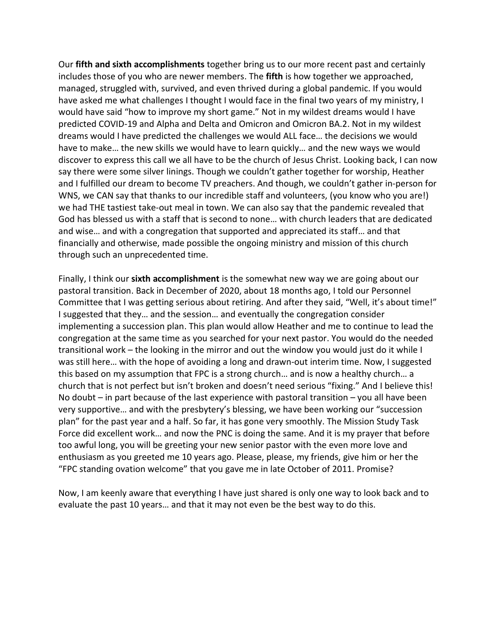Our **fifth and sixth accomplishments** together bring us to our more recent past and certainly includes those of you who are newer members. The **fifth** is how together we approached, managed, struggled with, survived, and even thrived during a global pandemic. If you would have asked me what challenges I thought I would face in the final two years of my ministry, I would have said "how to improve my short game." Not in my wildest dreams would I have predicted COVID-19 and Alpha and Delta and Omicron and Omicron BA.2. Not in my wildest dreams would I have predicted the challenges we would ALL face… the decisions we would have to make… the new skills we would have to learn quickly… and the new ways we would discover to express this call we all have to be the church of Jesus Christ. Looking back, I can now say there were some silver linings. Though we couldn't gather together for worship, Heather and I fulfilled our dream to become TV preachers. And though, we couldn't gather in-person for WNS, we CAN say that thanks to our incredible staff and volunteers, (you know who you are!) we had THE tastiest take-out meal in town. We can also say that the pandemic revealed that God has blessed us with a staff that is second to none… with church leaders that are dedicated and wise… and with a congregation that supported and appreciated its staff… and that financially and otherwise, made possible the ongoing ministry and mission of this church through such an unprecedented time.

Finally, I think our **sixth accomplishment** is the somewhat new way we are going about our pastoral transition. Back in December of 2020, about 18 months ago, I told our Personnel Committee that I was getting serious about retiring. And after they said, "Well, it's about time!" I suggested that they… and the session… and eventually the congregation consider implementing a succession plan. This plan would allow Heather and me to continue to lead the congregation at the same time as you searched for your next pastor. You would do the needed transitional work – the looking in the mirror and out the window you would just do it while I was still here… with the hope of avoiding a long and drawn-out interim time. Now, I suggested this based on my assumption that FPC is a strong church… and is now a healthy church… a church that is not perfect but isn't broken and doesn't need serious "fixing." And I believe this! No doubt – in part because of the last experience with pastoral transition – you all have been very supportive… and with the presbytery's blessing, we have been working our "succession plan" for the past year and a half. So far, it has gone very smoothly. The Mission Study Task Force did excellent work… and now the PNC is doing the same. And it is my prayer that before too awful long, you will be greeting your new senior pastor with the even more love and enthusiasm as you greeted me 10 years ago. Please, please, my friends, give him or her the "FPC standing ovation welcome" that you gave me in late October of 2011. Promise?

Now, I am keenly aware that everything I have just shared is only one way to look back and to evaluate the past 10 years… and that it may not even be the best way to do this.